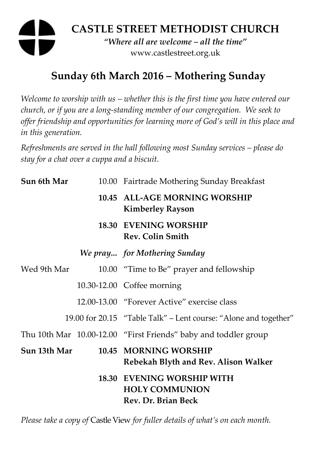# **CASTLE STREET METHODIST CHURCH**  *"Where all are welcome – all the time"*  www.castlestreet.org.uk

## **Sunday 6th March 2016 – Mothering Sunday**

*Welcome to worship with us – whether this is the first time you have entered our church, or if you are a long-standing member of our congregation. We seek to offer friendship and opportunities for learning more of God's will in this place and in this generation.* 

*Refreshments are served in the hall following most Sunday services – please do stay for a chat over a cuppa and a biscuit.* 

| Sun 6th Mar  | 10.00 Fairtrade Mothering Sunday Breakfast                                 |
|--------------|----------------------------------------------------------------------------|
|              | 10.45 ALL-AGE MORNING WORSHIP<br><b>Kimberley Rayson</b>                   |
|              | <b>18.30 EVENING WORSHIP</b><br><b>Rev. Colin Smith</b>                    |
|              | We pray for Mothering Sunday                                               |
| Wed 9th Mar  | 10.00 "Time to Be" prayer and fellowship                                   |
|              | 10.30-12.00 Coffee morning                                                 |
|              | 12.00-13.00 "Forever Active" exercise class                                |
|              | 19.00 for 20.15 "Table Talk" – Lent course: "Alone and together"           |
|              | Thu 10th Mar 10.00-12.00 "First Friends" baby and toddler group            |
| Sun 13th Mar | 10.45 MORNING WORSHIP<br>Rebekah Blyth and Rev. Alison Walker              |
|              | 18.30 EVENING WORSHIP WITH<br><b>HOLY COMMUNION</b><br>Rev. Dr. Brian Beck |

*Please take a copy of* Castle View *for fuller details of what's on each month.*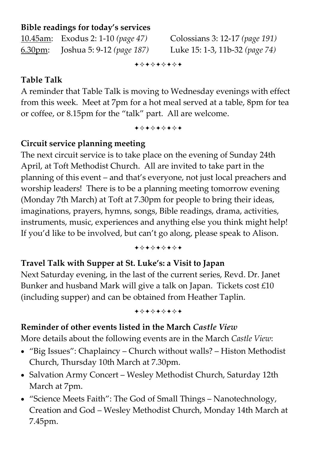#### **Bible readings for today's services**

10.45am: Exodus 2: 1-10 *(page 47)* Colossians 3: 12-17 *(page 191)*  6.30pm: Joshua 5: 9-12 *(page 187)* Luke 15: 1-3, 11b-32 *(page 74)* 

+\*\*\*\*\*\*\*

#### **Table Talk**

A reminder that Table Talk is moving to Wednesday evenings with effect from this week. Meet at 7pm for a hot meal served at a table, 8pm for tea or coffee, or 8.15pm for the "talk" part. All are welcome.

+\*+\*\*\*\*+

## **Circuit service planning meeting**

The next circuit service is to take place on the evening of Sunday 24th April, at Toft Methodist Church. All are invited to take part in the planning of this event – and that's everyone, not just local preachers and worship leaders! There is to be a planning meeting tomorrow evening (Monday 7th March) at Toft at 7.30pm for people to bring their ideas, imaginations, prayers, hymns, songs, Bible readings, drama, activities, instruments, music, experiences and anything else you think might help! If you'd like to be involved, but can't go along, please speak to Alison.

+\*+\*\*\*\*+

#### **Travel Talk with Supper at St. Luke's: a Visit to Japan**

Next Saturday evening, in the last of the current series, Revd. Dr. Janet Bunker and husband Mark will give a talk on Japan. Tickets cost £10 (including supper) and can be obtained from Heather Taplin.

#### +\*\*\*\*\*\*\*

#### **Reminder of other events listed in the March** *Castle View*

More details about the following events are in the March *Castle View*:

- "Big Issues": Chaplaincy Church without walls? Histon Methodist Church, Thursday 10th March at 7.30pm.
- Salvation Army Concert Wesley Methodist Church, Saturday 12th March at 7pm.
- "Science Meets Faith": The God of Small Things Nanotechnology, Creation and God – Wesley Methodist Church, Monday 14th March at 7.45pm.